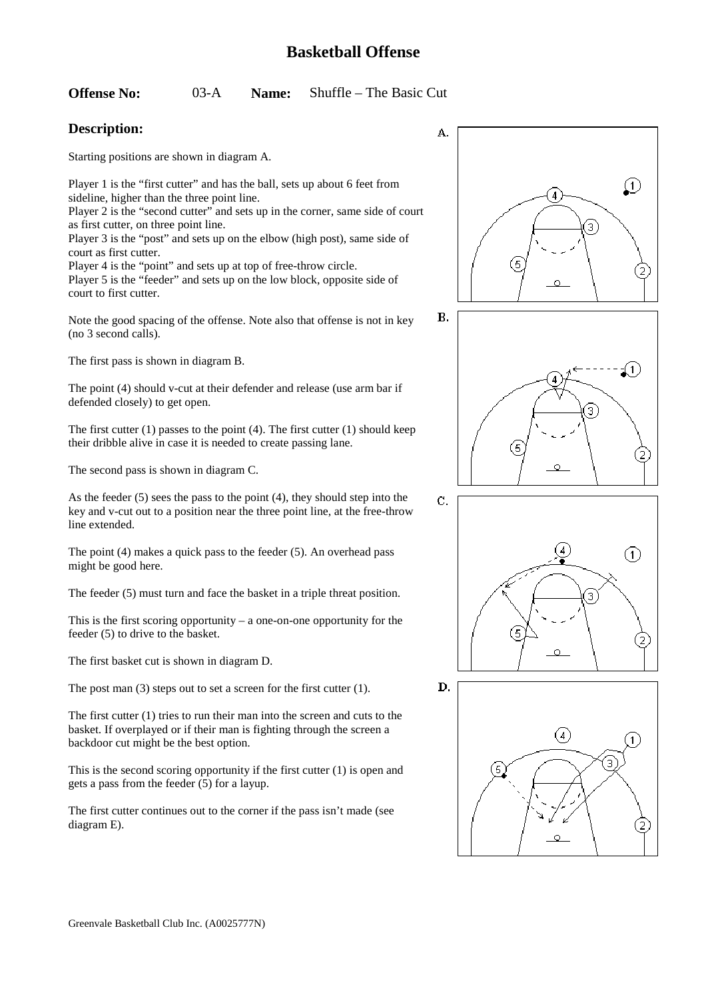#### **Offense No:** 03-A **Name:** Shuffle – The Basic Cut

### **Description:**

court to first cutter.

Starting positions are shown in diagram A.

Player 1 is the "first cutter" and has the ball, sets up about 6 feet from sideline, higher than the three point line. Player 2 is the "second cutter" and sets up in the corner, same side of court as first cutter, on three point line. Player 3 is the "post" and sets up on the elbow (high post), same side of

court as first cutter. Player 4 is the "point" and sets up at top of free-throw circle. Player 5 is the "feeder" and sets up on the low block, opposite side of

Note the good spacing of the offense. Note also that offense is not in key (no 3 second calls).

The first pass is shown in diagram B.

The point (4) should v-cut at their defender and release (use arm bar if defended closely) to get open.

The first cutter (1) passes to the point (4). The first cutter (1) should keep their dribble alive in case it is needed to create passing lane.

The second pass is shown in diagram C.

As the feeder (5) sees the pass to the point (4), they should step into the key and v-cut out to a position near the three point line, at the free-throw line extended.

The point (4) makes a quick pass to the feeder (5). An overhead pass might be good here.

The feeder (5) must turn and face the basket in a triple threat position.

This is the first scoring opportunity – a one-on-one opportunity for the feeder (5) to drive to the basket.

The first basket cut is shown in diagram D.

The post man (3) steps out to set a screen for the first cutter (1).

The first cutter (1) tries to run their man into the screen and cuts to the basket. If overplayed or if their man is fighting through the screen a backdoor cut might be the best option.

This is the second scoring opportunity if the first cutter (1) is open and gets a pass from the feeder (5) for a layup.

The first cutter continues out to the corner if the pass isn't made (see diagram E).







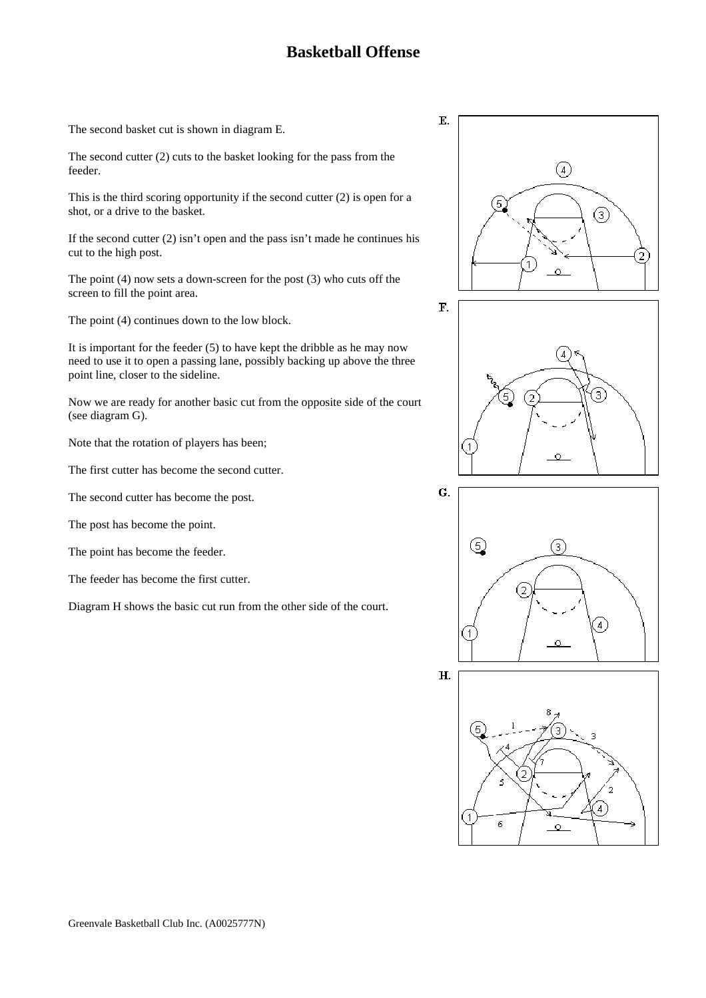The second basket cut is shown in diagram E.

The second cutter (2) cuts to the basket looking for the pass from the feeder.

This is the third scoring opportunity if the second cutter (2) is open for a shot, or a drive to the basket.

If the second cutter  $(2)$  isn't open and the pass isn't made he continues his cut to the high post.

The point (4) now sets a down-screen for the post (3) who cuts off the screen to fill the point area.

The point (4) continues down to the low block.

It is important for the feeder  $(5)$  to have kept the dribble as he may now need to use it to open a passing lane, possibly backing up above the three point line, closer to the sideline.

Now we are ready for another basic cut from the opposite side of the court (see diagram G).

Note that the rotation of players has been;

The first cutter has become the second cutter.

The second cutter has become the post.

The post has become the point.

The point has become the feeder.

The feeder has become the first cutter.

Diagram H shows the basic cut run from the other side of the court.







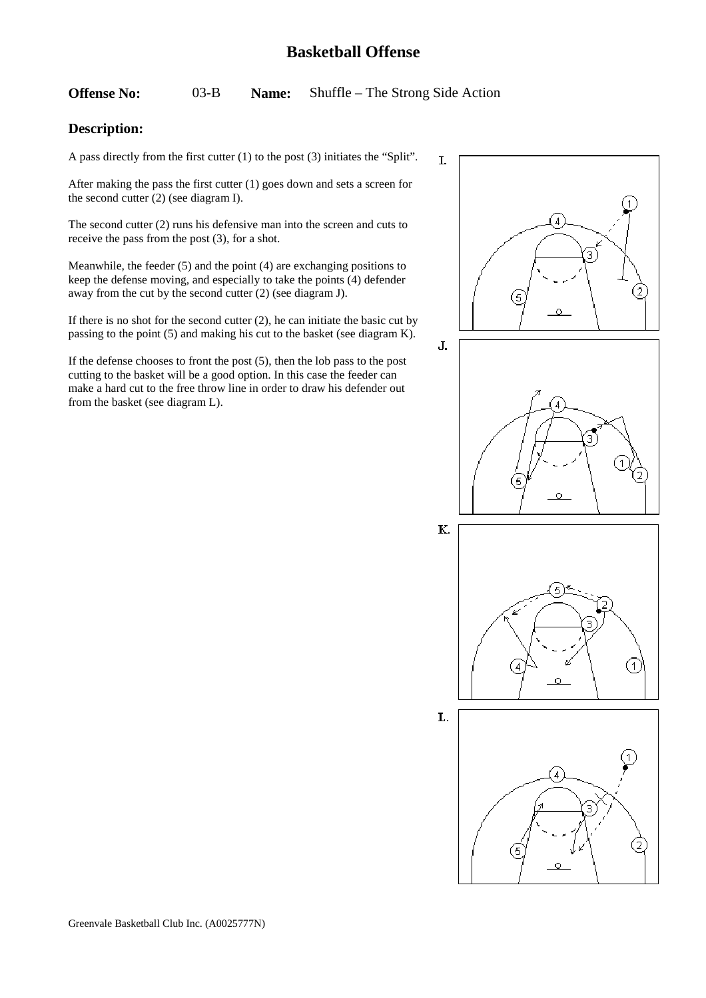**Offense No:** 03-B **Name:** Shuffle – The Strong Side Action

### **Description:**

A pass directly from the first cutter (1) to the post (3) initiates the "Split".

After making the pass the first cutter (1) goes down and sets a screen for the second cutter (2) (see diagram I).

The second cutter (2) runs his defensive man into the screen and cuts to receive the pass from the post (3), for a shot.

Meanwhile, the feeder (5) and the point (4) are exchanging positions to keep the defense moving, and especially to take the points (4) defender away from the cut by the second cutter (2) (see diagram J).

If there is no shot for the second cutter (2), he can initiate the basic cut by passing to the point (5) and making his cut to the basket (see diagram K).

If the defense chooses to front the post (5), then the lob pass to the post cutting to the basket will be a good option. In this case the feeder can make a hard cut to the free throw line in order to draw his defender out from the basket (see diagram L).